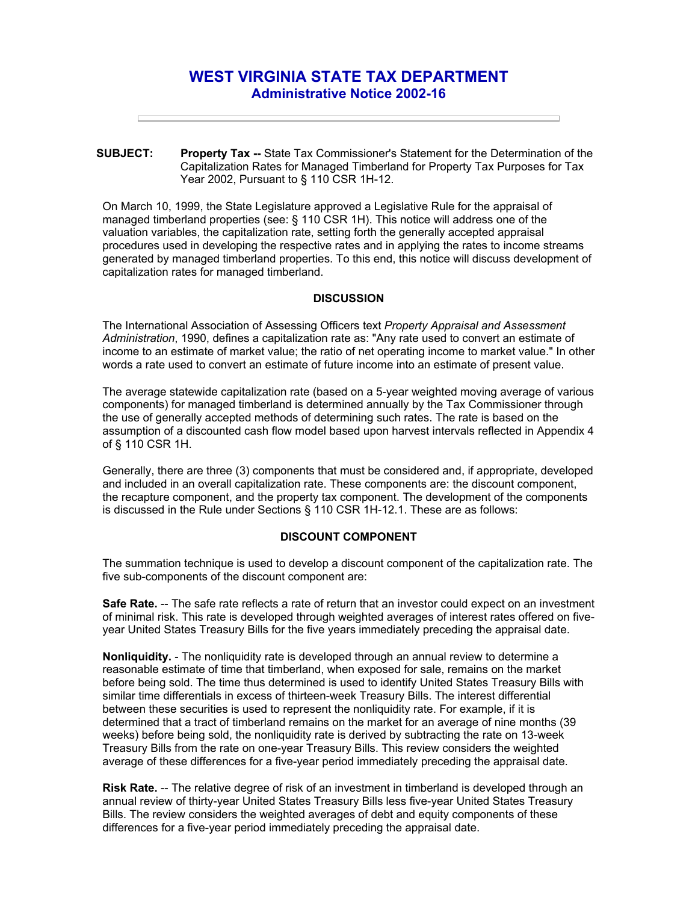# **WEST VIRGINIA STATE TAX DEPARTMENT Administrative Notice 2002-16**

**SUBJECT: Property Tax --** State Tax Commissioner's Statement for the Determination of the Capitalization Rates for Managed Timberland for Property Tax Purposes for Tax Year 2002, Pursuant to § 110 CSR 1H-12.

On March 10, 1999, the State Legislature approved a Legislative Rule for the appraisal of managed timberland properties (see: § 110 CSR 1H). This notice will address one of the valuation variables, the capitalization rate, setting forth the generally accepted appraisal procedures used in developing the respective rates and in applying the rates to income streams generated by managed timberland properties. To this end, this notice will discuss development of capitalization rates for managed timberland.

#### **DISCUSSION**

The International Association of Assessing Officers text *Property Appraisal and Assessment Administration*, 1990, defines a capitalization rate as: "Any rate used to convert an estimate of income to an estimate of market value; the ratio of net operating income to market value." In other words a rate used to convert an estimate of future income into an estimate of present value.

The average statewide capitalization rate (based on a 5-year weighted moving average of various components) for managed timberland is determined annually by the Tax Commissioner through the use of generally accepted methods of determining such rates. The rate is based on the assumption of a discounted cash flow model based upon harvest intervals reflected in Appendix 4 of § 110 CSR 1H.

Generally, there are three (3) components that must be considered and, if appropriate, developed and included in an overall capitalization rate. These components are: the discount component, the recapture component, and the property tax component. The development of the components is discussed in the Rule under Sections § 110 CSR 1H-12.1. These are as follows:

#### **DISCOUNT COMPONENT**

The summation technique is used to develop a discount component of the capitalization rate. The five sub-components of the discount component are:

**Safe Rate.** -- The safe rate reflects a rate of return that an investor could expect on an investment of minimal risk. This rate is developed through weighted averages of interest rates offered on fiveyear United States Treasury Bills for the five years immediately preceding the appraisal date.

**Nonliquidity.** - The nonliquidity rate is developed through an annual review to determine a reasonable estimate of time that timberland, when exposed for sale, remains on the market before being sold. The time thus determined is used to identify United States Treasury Bills with similar time differentials in excess of thirteen-week Treasury Bills. The interest differential between these securities is used to represent the nonliquidity rate. For example, if it is determined that a tract of timberland remains on the market for an average of nine months (39 weeks) before being sold, the nonliquidity rate is derived by subtracting the rate on 13-week Treasury Bills from the rate on one-year Treasury Bills. This review considers the weighted average of these differences for a five-year period immediately preceding the appraisal date.

**Risk Rate.** -- The relative degree of risk of an investment in timberland is developed through an annual review of thirty-year United States Treasury Bills less five-year United States Treasury Bills. The review considers the weighted averages of debt and equity components of these differences for a five-year period immediately preceding the appraisal date.